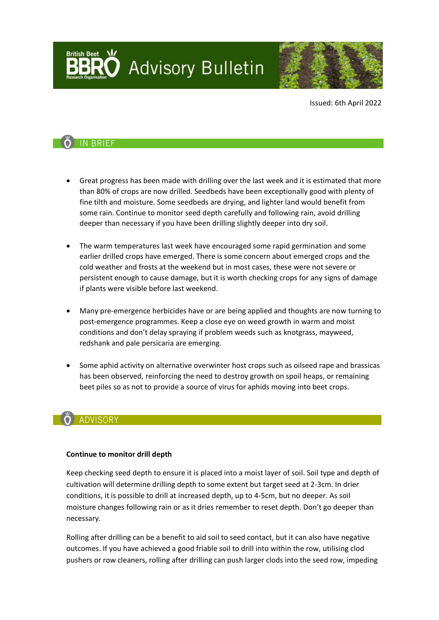**Advisory Bulletin** 



Issued: 6th April 2022

## O IN BRIEF

- Great progress has been made with drilling over the last week and it is estimated that more than 80% of crops are now drilled. Seedbeds have been exceptionally good with plenty of fine tilth and moisture. Some seedbeds are drying, and lighter land would benefit from some rain. Continue to monitor seed depth carefully and following rain, avoid drilling deeper than necessary if you have been drilling slightly deeper into dry soil.
- The warm temperatures last week have encouraged some rapid germination and some earlier drilled crops have emerged. There is some concern about emerged crops and the cold weather and frosts at the weekend but in most cases, these were not severe or persistent enough to cause damage, but it is worth checking crops for any signs of damage if plants were visible before last weekend.
- Many pre-emergence herbicides have or are being applied and thoughts are now turning to post-emergence programmes. Keep a close eye on weed growth in warm and moist conditions and don't delay spraying if problem weeds such as knotgrass, mayweed, redshank and pale persicaria are emerging.
- Some aphid activity on alternative overwinter host crops such as oilseed rape and brassicas has been observed, reinforcing the need to destroy growth on spoil heaps, or remaining beet piles so as not to provide a source of virus for aphids moving into beet crops.

## ADVISORY

#### **Continue to monitor drill depth**

Keep checking seed depth to ensure it is placed into a moist layer of soil. Soil type and depth of cultivation will determine drilling depth to some extent but target seed at 2-3cm. In drier conditions, it is possible to drill at increased depth, up to 4-5cm, but no deeper. As soil moisture changes following rain or as it dries remember to reset depth. Don't go deeper than necessary.

Rolling after drilling can be a benefit to aid soil to seed contact, but it can also have negative outcomes. If you have achieved a good friable soil to drill into within the row, utilising clod pushers or row cleaners, rolling after drilling can push larger clods into the seed row, impeding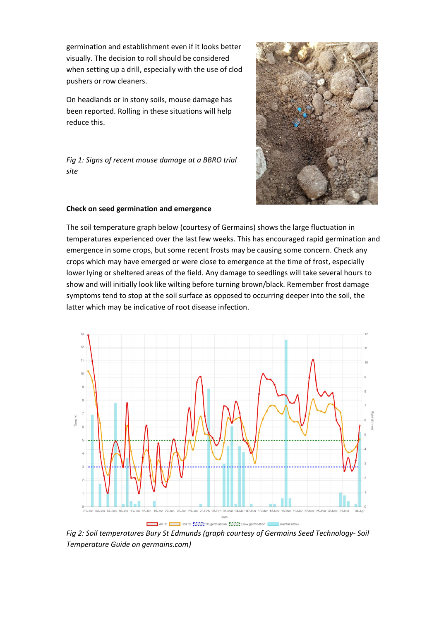germination and establishment even if it looks better visually. The decision to roll should be considered when setting up a drill, especially with the use of clod pushers or row cleaners.

On headlands or in stony soils, mouse damage has been reported. Rolling in these situations will help reduce this.

*Fig 1: Signs of recent mouse damage at a BBRO trial site*



#### **Check on seed germination and emergence**

The soil temperature graph below (courtesy of Germains) shows the large fluctuation in temperatures experienced over the last few weeks. This has encouraged rapid germination and emergence in some crops, but some recent frosts may be causing some concern. Check any crops which may have emerged or were close to emergence at the time of frost, especially lower lying or sheltered areas of the field. Any damage to seedlings will take several hours to show and will initially look like wilting before turning brown/black. Remember frost damage symptoms tend to stop at the soil surface as opposed to occurring deeper into the soil, the latter which may be indicative of root disease infection.



*Fig 2: Soil temperatures Bury St Edmunds (graph courtesy of Germains Seed Technology- Soil Temperature Guide on germains.com)*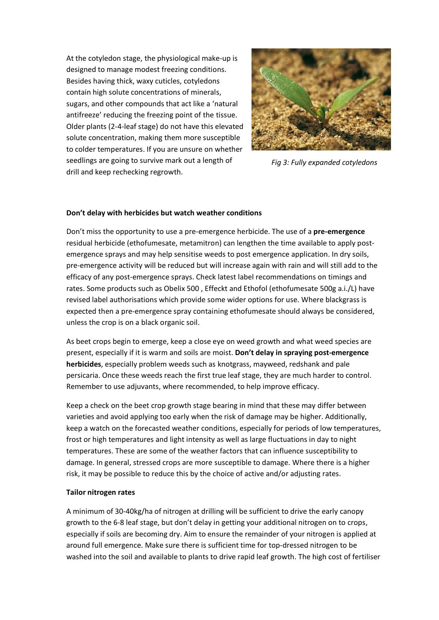At the cotyledon stage, the physiological make-up is designed to manage modest freezing conditions. Besides having thick, waxy cuticles, cotyledons contain high solute concentrations of minerals, sugars, and other compounds that act like a 'natural antifreeze' reducing the freezing point of the tissue. Older plants (2-4-leaf stage) do not have this elevated solute concentration, making them more susceptible to colder temperatures. If you are unsure on whether seedlings are going to survive mark out a length of drill and keep rechecking regrowth.



*Fig 3: Fully expanded cotyledons*

#### **Don't delay with herbicides but watch weather conditions**

Don't miss the opportunity to use a pre-emergence herbicide. The use of a **pre-emergence** residual herbicide (ethofumesate, metamitron) can lengthen the time available to apply postemergence sprays and may help sensitise weeds to post emergence application. In dry soils, pre-emergence activity will be reduced but will increase again with rain and will still add to the efficacy of any post-emergence sprays. Check latest label recommendations on timings and rates. Some products such as Obelix 500 , Effeckt and Ethofol (ethofumesate 500g a.i./L) have revised label authorisations which provide some wider options for use. Where blackgrass is expected then a pre-emergence spray containing ethofumesate should always be considered, unless the crop is on a black organic soil.

As beet crops begin to emerge, keep a close eye on weed growth and what weed species are present, especially if it is warm and soils are moist. **Don't delay in spraying post-emergence herbicides**, especially problem weeds such as knotgrass, mayweed, redshank and pale persicaria. Once these weeds reach the first true leaf stage, they are much harder to control. Remember to use adjuvants, where recommended, to help improve efficacy.

Keep a check on the beet crop growth stage bearing in mind that these may differ between varieties and avoid applying too early when the risk of damage may be higher. Additionally, keep a watch on the forecasted weather conditions, especially for periods of low temperatures, frost or high temperatures and light intensity as well as large fluctuations in day to night temperatures. These are some of the weather factors that can influence susceptibility to damage. In general, stressed crops are more susceptible to damage. Where there is a higher risk, it may be possible to reduce this by the choice of active and/or adjusting rates.

#### **Tailor nitrogen rates**

A minimum of 30-40kg/ha of nitrogen at drilling will be sufficient to drive the early canopy growth to the 6-8 leaf stage, but don't delay in getting your additional nitrogen on to crops, especially if soils are becoming dry. Aim to ensure the remainder of your nitrogen is applied at around full emergence. Make sure there is sufficient time for top-dressed nitrogen to be washed into the soil and available to plants to drive rapid leaf growth. The high cost of fertiliser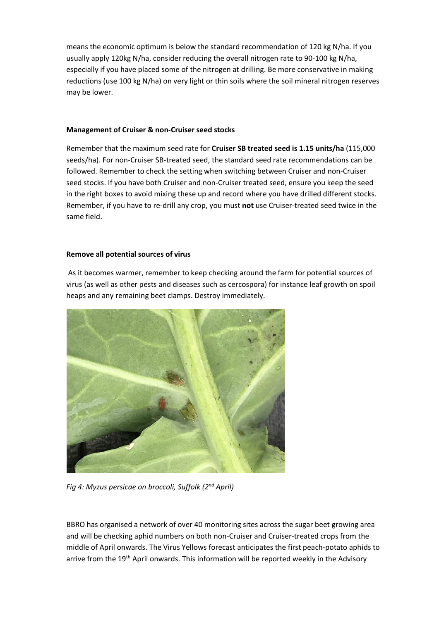means the economic optimum is below the standard recommendation of 120 kg N/ha. If you usually apply 120kg N/ha, consider reducing the overall nitrogen rate to 90-100 kg N/ha, especially if you have placed some of the nitrogen at drilling. Be more conservative in making reductions (use 100 kg N/ha) on very light or thin soils where the soil mineral nitrogen reserves may be lower.

#### **Management of Cruiser & non-Cruiser seed stocks**

Remember that the maximum seed rate for **Cruiser SB treated seed is 1.15 units/ha** (115,000 seeds/ha). For non-Cruiser SB-treated seed, the standard seed rate recommendations can be followed. Remember to check the setting when switching between Cruiser and non-Cruiser seed stocks. If you have both Cruiser and non-Cruiser treated seed, ensure you keep the seed in the right boxes to avoid mixing these up and record where you have drilled different stocks. Remember, if you have to re-drill any crop, you must **not** use Cruiser-treated seed twice in the same field.

### **Remove all potential sources of virus**

As it becomes warmer, remember to keep checking around the farm for potential sources of virus (as well as other pests and diseases such as cercospora) for instance leaf growth on spoil heaps and any remaining beet clamps. Destroy immediately.



*Fig 4: Myzus persicae on broccoli, Suffolk (2nd April)*

BBRO has organised a network of over 40 monitoring sites across the sugar beet growing area and will be checking aphid numbers on both non-Cruiser and Cruiser-treated crops from the middle of April onwards. The Virus Yellows forecast anticipates the first peach-potato aphids to arrive from the 19<sup>th</sup> April onwards. This information will be reported weekly in the Advisory